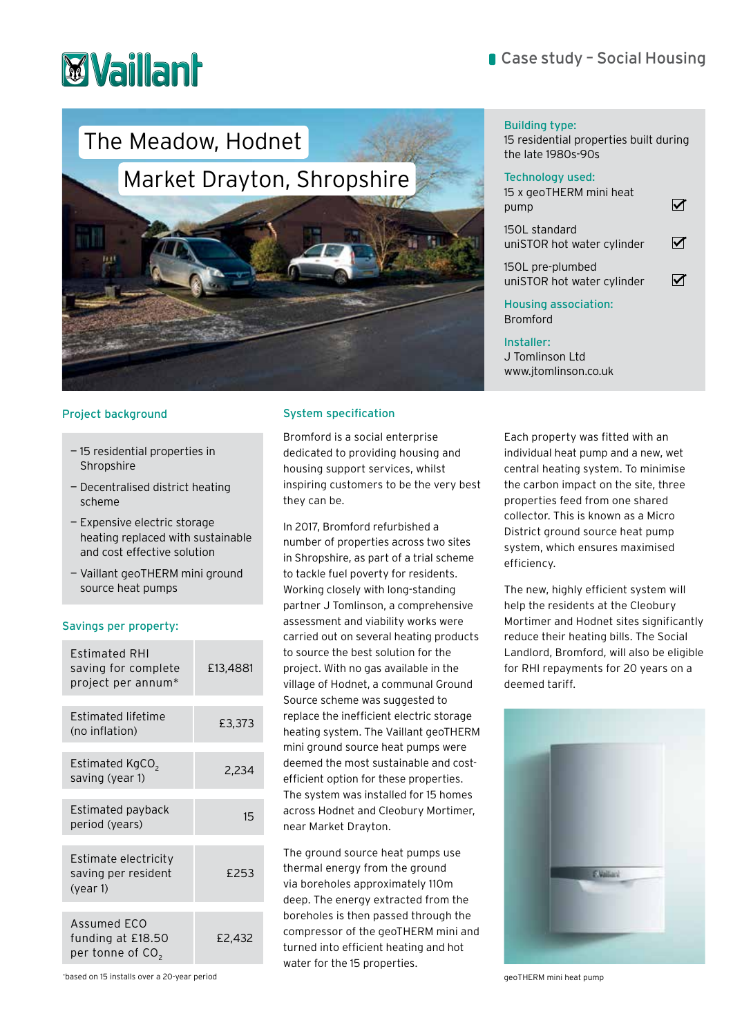# **Myaillan**

## The Meadow, Hodnet

## Market Drayton, Shropshire



### Project background

- 15 residential properties in Shropshire
- Decentralised district heating scheme
- Expensive electric storage heating replaced with sustainable and cost effective solution
- Vaillant geoTHERM mini ground source heat pumps

#### Savings per property:

| Estimated RHI<br>saving for complete<br>project per annum*       | £13,4881 |
|------------------------------------------------------------------|----------|
| <b>Estimated lifetime</b><br>(no inflation)                      | £3,373   |
|                                                                  |          |
| Estimated KgCO <sub>2</sub><br>saving (year 1)                   | 2,234    |
|                                                                  |          |
| Estimated payback<br>period (years)                              | 15       |
|                                                                  |          |
| Estimate electricity<br>saving per resident<br>(year 1)          | £253     |
|                                                                  |          |
| Assumed ECO<br>funding at £18.50<br>per tonne of CO <sub>2</sub> | £2.432   |

System specification

Bromford is a social enterprise dedicated to providing housing and housing support services, whilst inspiring customers to be the very best they can be.

In 2017, Bromford refurbished a number of properties across two sites in Shropshire, as part of a trial scheme to tackle fuel poverty for residents. Working closely with long-standing partner J Tomlinson, a comprehensive assessment and viability works were carried out on several heating products to source the best solution for the project. With no gas available in the village of Hodnet, a communal Ground Source scheme was suggested to replace the inefficient electric storage heating system. The Vaillant geoTHERM mini ground source heat pumps were deemed the most sustainable and costefficient option for these properties. The system was installed for 15 homes across Hodnet and Cleobury Mortimer, near Market Drayton.

The ground source heat pumps use thermal energy from the ground via boreholes approximately 110m deep. The energy extracted from the boreholes is then passed through the compressor of the geoTHERM mini and turned into efficient heating and hot water for the 15 properties.

#### Building type:

15 residential properties built during the late 1980s-90s

#### Technology used:

| 15 x geoTHERM mini heat<br>pump                |  |
|------------------------------------------------|--|
| 150L standard<br>uniSTOR hot water cylinder    |  |
| 150L pre-plumbed<br>uniSTOR hot water cylinder |  |
| <b>Housing association:</b><br><b>Bromford</b> |  |
|                                                |  |

Installer: J Tomlinson Ltd www.jtomlinson.co.uk

Each property was fitted with an individual heat pump and a new, wet central heating system. To minimise the carbon impact on the site, three properties feed from one shared collector. This is known as a Micro District ground source heat pump system, which ensures maximised efficiency.

The new, highly efficient system will help the residents at the Cleobury Mortimer and Hodnet sites significantly reduce their heating bills. The Social Landlord, Bromford, will also be eligible for RHI repayments for 20 years on a deemed tariff.



\* based on 15 installs over a 20-year period geoTHERM mini heat pump